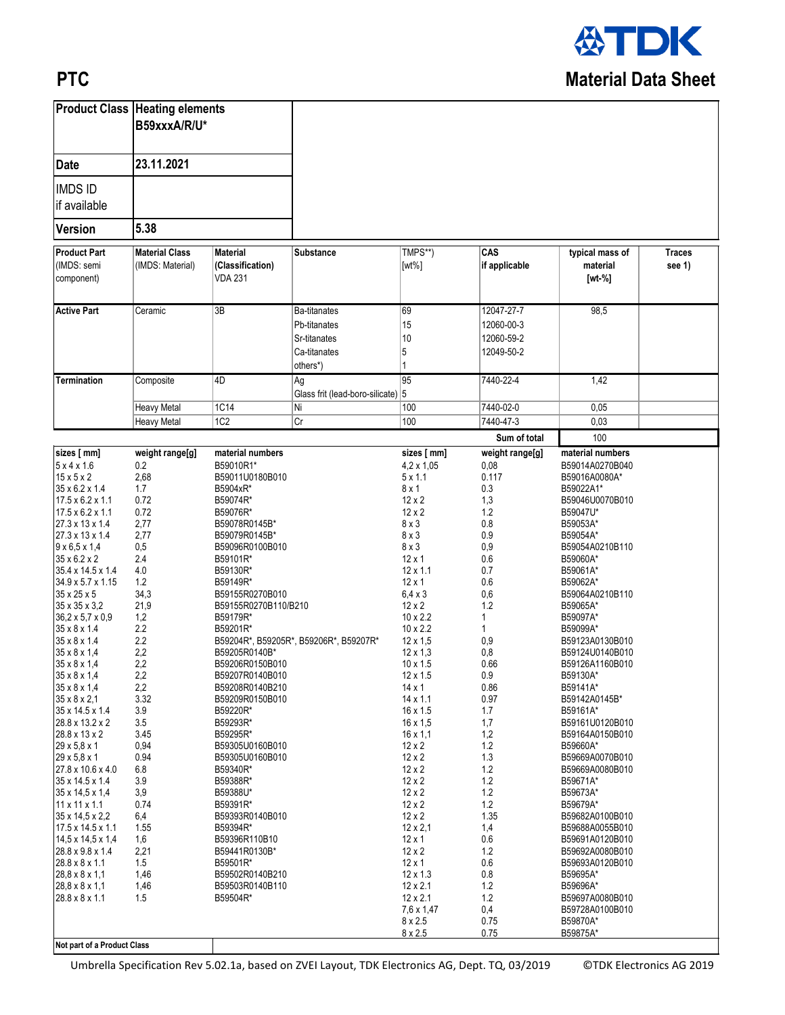

## **PTC**

|                                                                                                                                                                                                                                                                                                                                                                                                                                                                                                                                    | <b>Product Class Heating elements</b><br>B59xxxA/R/U*                                                                                                   |                                                                                                                                                                                                                                                                                                                           |                                                                                 |                                                                                                                                                                                                                                                                                                                                                                       |                                                                                                                                                   |                                                                                                                                                                                                                                                                                                                           |                         |
|------------------------------------------------------------------------------------------------------------------------------------------------------------------------------------------------------------------------------------------------------------------------------------------------------------------------------------------------------------------------------------------------------------------------------------------------------------------------------------------------------------------------------------|---------------------------------------------------------------------------------------------------------------------------------------------------------|---------------------------------------------------------------------------------------------------------------------------------------------------------------------------------------------------------------------------------------------------------------------------------------------------------------------------|---------------------------------------------------------------------------------|-----------------------------------------------------------------------------------------------------------------------------------------------------------------------------------------------------------------------------------------------------------------------------------------------------------------------------------------------------------------------|---------------------------------------------------------------------------------------------------------------------------------------------------|---------------------------------------------------------------------------------------------------------------------------------------------------------------------------------------------------------------------------------------------------------------------------------------------------------------------------|-------------------------|
| <b>Date</b>                                                                                                                                                                                                                                                                                                                                                                                                                                                                                                                        | 23.11.2021                                                                                                                                              |                                                                                                                                                                                                                                                                                                                           |                                                                                 |                                                                                                                                                                                                                                                                                                                                                                       |                                                                                                                                                   |                                                                                                                                                                                                                                                                                                                           |                         |
| <b>IMDS ID</b><br>if available                                                                                                                                                                                                                                                                                                                                                                                                                                                                                                     |                                                                                                                                                         |                                                                                                                                                                                                                                                                                                                           |                                                                                 |                                                                                                                                                                                                                                                                                                                                                                       |                                                                                                                                                   |                                                                                                                                                                                                                                                                                                                           |                         |
| <b>Version</b>                                                                                                                                                                                                                                                                                                                                                                                                                                                                                                                     | 5.38                                                                                                                                                    |                                                                                                                                                                                                                                                                                                                           |                                                                                 |                                                                                                                                                                                                                                                                                                                                                                       |                                                                                                                                                   |                                                                                                                                                                                                                                                                                                                           |                         |
| <b>Product Part</b><br>(IMDS: semi<br>component)                                                                                                                                                                                                                                                                                                                                                                                                                                                                                   | <b>Material Class</b><br>(IMDS: Material)                                                                                                               | <b>Material</b><br>(Classification)<br><b>VDA 231</b>                                                                                                                                                                                                                                                                     | Substance                                                                       | TMPS**)<br>$[wt\%]$                                                                                                                                                                                                                                                                                                                                                   | CAS<br>if applicable                                                                                                                              | typical mass of<br>material<br>$[wt - %]$                                                                                                                                                                                                                                                                                 | <b>Traces</b><br>see 1) |
| <b>Active Part</b>                                                                                                                                                                                                                                                                                                                                                                                                                                                                                                                 | Ceramic                                                                                                                                                 | 3B                                                                                                                                                                                                                                                                                                                        | <b>Ba-titanates</b><br>Pb-titanates<br>Sr-titanates<br>Ca-titanates<br>others*) | 69<br>15<br>10<br>5                                                                                                                                                                                                                                                                                                                                                   | 12047-27-7<br>12060-00-3<br>12060-59-2<br>12049-50-2                                                                                              | 98,5                                                                                                                                                                                                                                                                                                                      |                         |
| Termination                                                                                                                                                                                                                                                                                                                                                                                                                                                                                                                        | Composite                                                                                                                                               | 4D<br>1C14                                                                                                                                                                                                                                                                                                                | Ag<br>Glass frit (lead-boro-silicate) 5<br>Ni                                   | 95<br>100                                                                                                                                                                                                                                                                                                                                                             | 7440-22-4<br>7440-02-0                                                                                                                            | 1,42<br>0.05                                                                                                                                                                                                                                                                                                              |                         |
|                                                                                                                                                                                                                                                                                                                                                                                                                                                                                                                                    | <b>Heavy Metal</b><br><b>Heavy Metal</b>                                                                                                                | 1C <sub>2</sub>                                                                                                                                                                                                                                                                                                           | Cr                                                                              | 100                                                                                                                                                                                                                                                                                                                                                                   | 7440-47-3                                                                                                                                         | 0,03                                                                                                                                                                                                                                                                                                                      |                         |
| sizes [ mm]                                                                                                                                                                                                                                                                                                                                                                                                                                                                                                                        |                                                                                                                                                         |                                                                                                                                                                                                                                                                                                                           |                                                                                 |                                                                                                                                                                                                                                                                                                                                                                       | Sum of total                                                                                                                                      | 100                                                                                                                                                                                                                                                                                                                       |                         |
| 5x4x1.6<br>$15 \times 5 \times 2$<br>$35 \times 6.2 \times 1.4$<br>$17.5 \times 6.2 \times 1.1$<br>$17.5 \times 6.2 \times 1.1$<br>27.3 x 13 x 1.4<br>27.3 x 13 x 1.4<br>$9 \times 6, 5 \times 1, 4$<br>35 x 6.2 x 2<br>35.4 x 14.5 x 1.4<br>34.9 x 5.7 x 1.15<br>35 x 25 x 5<br>35 x 35 x 3.2<br>$36,2 \times 5,7 \times 0,9$<br>$35 \times 8 \times 1.4$<br>$35 \times 8 \times 1.4$<br>$35 \times 8 \times 1.4$<br>$35 \times 8 \times 1,4$<br>$35 \times 8 \times 1,4$<br>$35 \times 8 \times 1,4$<br>$35 \times 8 \times 2,1$ | 0.2<br>2,68<br>1.7<br>0.72<br>0.72<br>2,77<br>2,77<br>0,5<br>2.4<br>4.0<br>1.2<br>34,3<br>21,9<br>1,2<br>2.2<br>2.2<br>2,2<br>2,2<br>2,2<br>2,2<br>3.32 | B59010R1*<br>B59011U0180B010<br>B5904xR*<br>B59074R*<br>B59076R*<br>B59078R0145B*<br>B59079R0145B*<br>B59096R0100B010<br>B59101R*<br>B59130R*<br>B59149R*<br>B59155R0270B010<br>B59155R0270B110/B210<br>B59179R*<br>B59201R*<br>B59205R0140B*<br>B59206R0150B010<br>B59207R0140B010<br>B59208R0140B210<br>B59209R0150B010 | B59204R*, B59205R*, B59206R*, B59207R*                                          | $4.2 \times 1.05$<br>$5 \times 1.1$<br>$8 \times 1$<br>$12 \times 2$<br>$12 \times 2$<br>$8 \times 3$<br>$8 \times 3$<br>$8 \times 3$<br>$12 \times 1$<br>$12 \times 1.1$<br>$12 \times 1$<br>$6,4 \times 3$<br>$12 \times 2$<br>$10 \times 2.2$<br>$10 \times 2.2$<br>$12 \times 1.5$<br>$12 \times 1.3$<br>$10 \times 1.5$<br>12 x 1.5<br>14 x 1<br>$14 \times 1.1$ | 0,08<br>0.117<br>0.3<br>1,3<br>1.2<br>0.8<br>0.9<br>0,9<br>0.6<br>0.7<br>0.6<br>0,6<br>1.2<br>1<br>1<br>0,9<br>0,8<br>0.66<br>0.9<br>0.86<br>0.97 | B59014A0270B040<br>B59016A0080A*<br>B59022A1*<br>B59046U0070B010<br>B59047U*<br>B59053A*<br>B59054A*<br>B59054A0210B110<br>B59060A*<br>B59061A*<br>B59062A*<br>B59064A0210B110<br>B59065A*<br>B59097A*<br>B59099A*<br>B59123A0130B010<br>B59124U0140B010<br>B59126A1160B010<br>B59130A*<br>B59141A*<br>B59142A0145B*      |                         |
| 35 x 14.5 x 1.4<br>28.8 x 13.2 x 2<br>28.8 x 13 x 2<br>29 x 5,8 x 1<br>29 x 5,8 x 1<br>27.8 x 10.6 x 4.0<br>35 x 14.5 x 1.4<br>35 x 14.5 x 1.4<br>11 x 11 x 1.1<br>35 x 14,5 x 2,2<br>$17.5 \times 14.5 \times 1.1$<br>$14,5 \times 14,5 \times 1,4$<br>28.8 x 9.8 x 1.4<br>28.8 x 8 x 1.1<br>28,8 x 8 x 1,1<br>$28,8 \times 8 \times 1,1$<br>28.8 x 8 x 1.1<br>Not part of a Product Class                                                                                                                                        | 3.9<br>3.5<br>3.45<br>0,94<br>0.94<br>6.8<br>3.9<br>3,9<br>0.74<br>6,4<br>1.55<br>1,6<br>2,21<br>1.5<br>1,46<br>1,46<br>1.5                             | B59220R*<br>B59293R*<br>B59295R*<br>B59305U0160B010<br>B59305U0160B010<br>B59340R*<br>B59388R*<br>B59388U*<br>B59391R*<br>B59393R0140B010<br>B59394R*<br>B59396R110B10<br>B59441R0130B*<br>B59501R*<br>B59502R0140B210<br>B59503R0140B110<br>B59504R*                                                                     |                                                                                 | 16 x 1.5<br>16 x 1.5<br>$16 \times 1,1$<br>$12 \times 2$<br>$12 \times 2$<br>$12 \times 2$<br>$12 \times 2$<br>$12 \times 2$<br>$12 \times 2$<br>$12 \times 2$<br>$12 \times 2.1$<br>$12 \times 1$<br>$12 \times 2$<br>$12 \times 1$<br>$12 \times 1.3$<br>$12 \times 2.1$<br>$12 \times 2.1$<br>7.6 x 1.47<br>$8 \times 2.5$<br>$8 \times 2.5$                       | 1.7<br>1,7<br>1,2<br>1.2<br>1.3<br>1.2<br>1.2<br>1.2<br>1.2<br>1.35<br>1,4<br>0.6<br>1.2<br>0.6<br>0.8<br>1.2<br>1.2<br>0,4<br>0.75<br>0.75       | B59161A*<br>B59161U0120B010<br>B59164A0150B010<br>B59660A*<br>B59669A0070B010<br>B59669A0080B010<br>B59671A*<br>B59673A*<br>B59679A*<br>B59682A0100B010<br>B59688A0055B010<br>B59691A0120B010<br>B59692A0080B010<br>B59693A0120B010<br>B59695A*<br>B59696A*<br>B59697A0080B010<br>B59728A0100B010<br>B59870A*<br>B59875A* |                         |